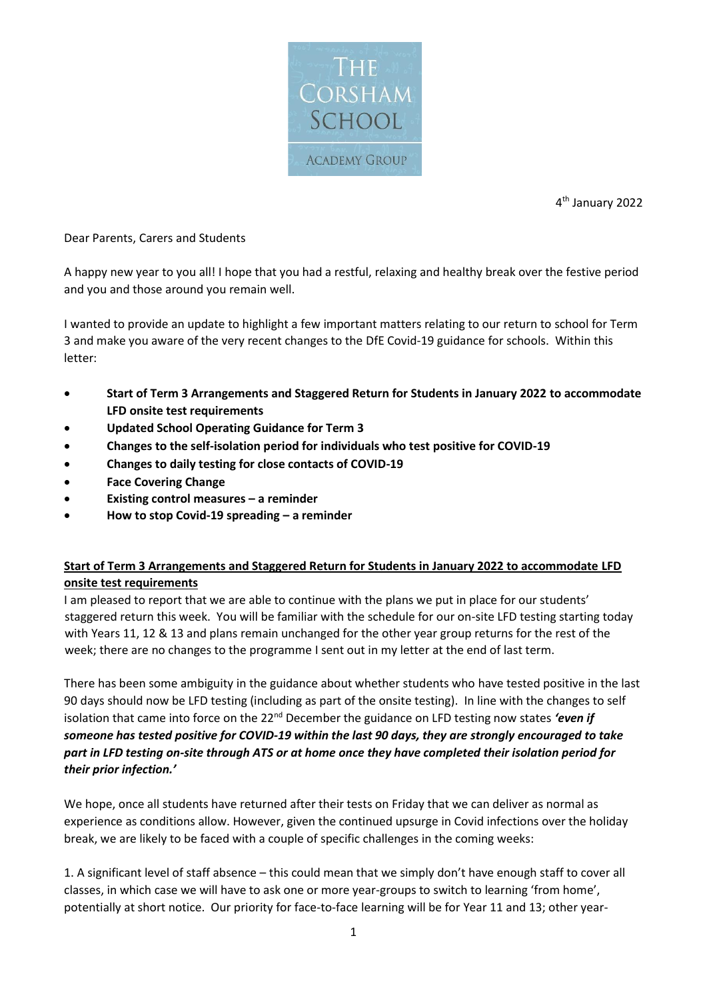

4 th January 2022

#### Dear Parents, Carers and Students

A happy new year to you all! I hope that you had a restful, relaxing and healthy break over the festive period and you and those around you remain well.

I wanted to provide an update to highlight a few important matters relating to our return to school for Term 3 and make you aware of the very recent changes to the DfE Covid-19 guidance for schools. Within this letter:

- **Start of Term 3 Arrangements and Staggered Return for Students in January 2022 to accommodate LFD onsite test requirements**
- **Updated School Operating Guidance for Term 3**
- **Changes to the self-isolation period for individuals who test positive for COVID-19**
- **Changes to daily testing for close contacts of COVID-19**
- **Face Covering Change**
- **Existing control measures – a reminder**
- **How to stop Covid-19 spreading – a reminder**

# **Start of Term 3 Arrangements and Staggered Return for Students in January 2022 to accommodate LFD onsite test requirements**

I am pleased to report that we are able to continue with the plans we put in place for our students' staggered return this week. You will be familiar with the schedule for our on-site LFD testing starting today with Years 11, 12 & 13 and plans remain unchanged for the other year group returns for the rest of the week; there are no changes to the programme I sent out in my letter at the end of last term.

There has been some ambiguity in the guidance about whether students who have tested positive in the last 90 days should now be LFD testing (including as part of the onsite testing). In line with the changes to self isolation that came into force on the 22<sup>nd</sup> December the guidance on LFD testing now states 'even if *someone has tested positive for COVID-19 within the last 90 days, they are strongly encouraged to take part in LFD testing on-site through ATS or at home once they have completed their isolation period for their prior infection.'*

We hope, once all students have returned after their tests on Friday that we can deliver as normal as experience as conditions allow. However, given the continued upsurge in Covid infections over the holiday break, we are likely to be faced with a couple of specific challenges in the coming weeks:

1. A significant level of staff absence – this could mean that we simply don't have enough staff to cover all classes, in which case we will have to ask one or more year-groups to switch to learning 'from home', potentially at short notice. Our priority for face-to-face learning will be for Year 11 and 13; other year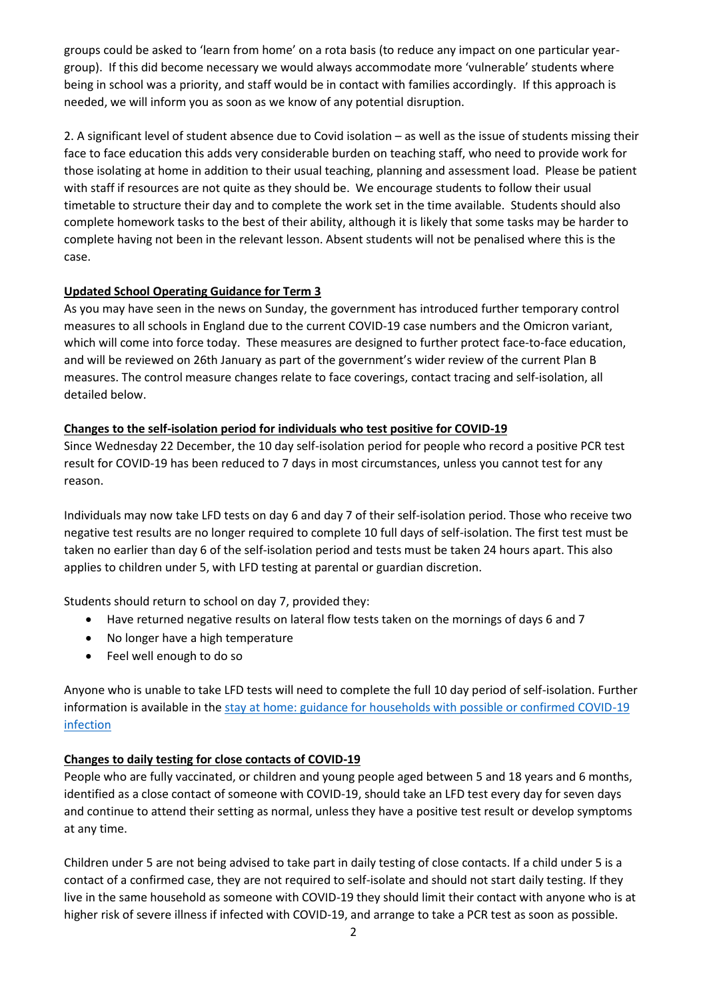groups could be asked to 'learn from home' on a rota basis (to reduce any impact on one particular yeargroup). If this did become necessary we would always accommodate more 'vulnerable' students where being in school was a priority, and staff would be in contact with families accordingly. If this approach is needed, we will inform you as soon as we know of any potential disruption.

2. A significant level of student absence due to Covid isolation – as well as the issue of students missing their face to face education this adds very considerable burden on teaching staff, who need to provide work for those isolating at home in addition to their usual teaching, planning and assessment load. Please be patient with staff if resources are not quite as they should be. We encourage students to follow their usual timetable to structure their day and to complete the work set in the time available. Students should also complete homework tasks to the best of their ability, although it is likely that some tasks may be harder to complete having not been in the relevant lesson. Absent students will not be penalised where this is the case.

## **Updated School Operating Guidance for Term 3**

As you may have seen in the news on Sunday, the government has introduced further temporary control measures to all schools in England due to the current COVID-19 case numbers and the Omicron variant, which will come into force today. These measures are designed to further protect face-to-face education, and will be reviewed on 26th January as part of the government's wider review of the current Plan B measures. The control measure changes relate to face coverings, contact tracing and self-isolation, all detailed below.

## **Changes to the self-isolation period for individuals who test positive for COVID-19**

Since Wednesday 22 December, the 10 day self-isolation period for people who record a positive PCR test result for COVID-19 has been reduced to 7 days in most circumstances, unless you cannot test for any reason.

Individuals may now take LFD tests on day 6 and day 7 of their self-isolation period. Those who receive two negative test results are no longer required to complete 10 full days of self-isolation. The first test must be taken no earlier than day 6 of the self-isolation period and tests must be taken 24 hours apart. This also applies to children under 5, with LFD testing at parental or guardian discretion.

Students should return to school on day 7, provided they:

- Have returned negative results on lateral flow tests taken on the mornings of days 6 and 7
- No longer have a high temperature
- Feel well enough to do so

Anyone who is unable to take LFD tests will need to complete the full 10 day period of self-isolation. Further information is available in the stay at home: guidance for households with possible or confirmed COVID-19 [infection](https://eur01.safelinks.protection.outlook.com/?url=https%3A%2F%2Fwww.gov.uk%2Fgovernment%2Fpublications%2Fcovid-19-stay-at-home-guidance%2Fstay-at-home-guidance-for-households-with-possible-coronavirus-covid-19-infection%3Futm_source%3D2%2520January%25202022%2520C19%26utm_medium%3DDaily%2520Email%2520C19%26utm_campaign%3DDfE%2520C19&data=04%7C01%7CRBell%40corsham.wilts.sch.uk%7C025e25848f08461096b708d9cdf65c0a%7Cae2d489627854217a0ae572acf3597f9%7C0%7C0%7C637767280249130136%7CUnknown%7CTWFpbGZsb3d8eyJWIjoiMC4wLjAwMDAiLCJQIjoiV2luMzIiLCJBTiI6Ik1haWwiLCJXVCI6Mn0%3D%7C3000&sdata=PiX1lGdEV3E%2FlpxpoNZwV0NCA7050zwQkoojoxQwRiI%3D&reserved=0)

# **Changes to daily testing for close contacts of COVID-19**

People who are fully vaccinated, or children and young people aged between 5 and 18 years and 6 months, identified as a close contact of someone with COVID-19, should take an LFD test every day for seven days and continue to attend their setting as normal, unless they have a positive test result or develop symptoms at any time.

Children under 5 are not being advised to take part in daily testing of close contacts. If a child under 5 is a contact of a confirmed case, they are not required to self-isolate and should not start daily testing. If they live in the same household as someone with COVID-19 they should limit their contact with anyone who is at higher risk of severe illness if infected with COVID-19, and arrange to take a PCR test as soon as possible.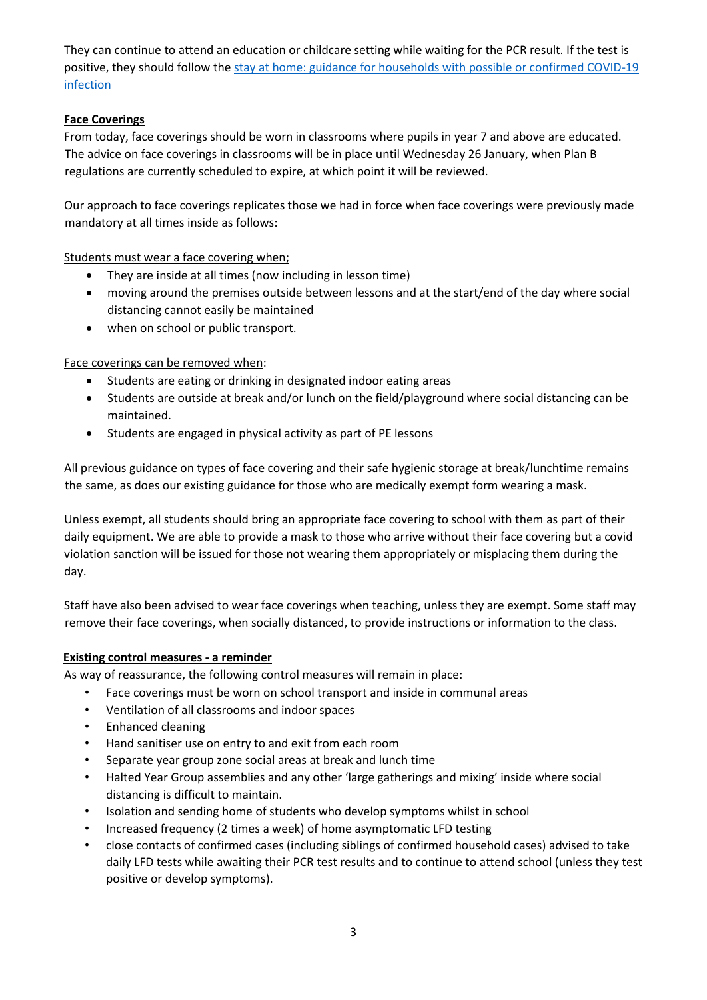They can continue to attend an education or childcare setting while waiting for the PCR result. If the test is positive, they should follow the [stay at home: guidance for households with possible or confirmed COVID-19](https://eur01.safelinks.protection.outlook.com/?url=https%3A%2F%2Fwww.gov.uk%2Fgovernment%2Fpublications%2Fcovid-19-stay-at-home-guidance%2Fstay-at-home-guidance-for-households-with-possible-coronavirus-covid-19-infection%3Futm_source%3D2%2520January%25202022%2520C19%26utm_medium%3DDaily%2520Email%2520C19%26utm_campaign%3DDfE%2520C19&data=04%7C01%7CRBell%40corsham.wilts.sch.uk%7C025e25848f08461096b708d9cdf65c0a%7Cae2d489627854217a0ae572acf3597f9%7C0%7C0%7C637767280249130136%7CUnknown%7CTWFpbGZsb3d8eyJWIjoiMC4wLjAwMDAiLCJQIjoiV2luMzIiLCJBTiI6Ik1haWwiLCJXVCI6Mn0%3D%7C3000&sdata=PiX1lGdEV3E%2FlpxpoNZwV0NCA7050zwQkoojoxQwRiI%3D&reserved=0)  [infection](https://eur01.safelinks.protection.outlook.com/?url=https%3A%2F%2Fwww.gov.uk%2Fgovernment%2Fpublications%2Fcovid-19-stay-at-home-guidance%2Fstay-at-home-guidance-for-households-with-possible-coronavirus-covid-19-infection%3Futm_source%3D2%2520January%25202022%2520C19%26utm_medium%3DDaily%2520Email%2520C19%26utm_campaign%3DDfE%2520C19&data=04%7C01%7CRBell%40corsham.wilts.sch.uk%7C025e25848f08461096b708d9cdf65c0a%7Cae2d489627854217a0ae572acf3597f9%7C0%7C0%7C637767280249130136%7CUnknown%7CTWFpbGZsb3d8eyJWIjoiMC4wLjAwMDAiLCJQIjoiV2luMzIiLCJBTiI6Ik1haWwiLCJXVCI6Mn0%3D%7C3000&sdata=PiX1lGdEV3E%2FlpxpoNZwV0NCA7050zwQkoojoxQwRiI%3D&reserved=0)

## **Face Coverings**

From today, face coverings should be worn in classrooms where pupils in year 7 and above are educated. The advice on face coverings in classrooms will be in place until Wednesday 26 January, when Plan B regulations are currently scheduled to expire, at which point it will be reviewed.

Our approach to face coverings replicates those we had in force when face coverings were previously made mandatory at all times inside as follows:

Students must wear a face covering when;

- They are inside at all times (now including in lesson time)
- moving around the premises outside between lessons and at the start/end of the day where social distancing cannot easily be maintained
- when on school or public transport.

Face coverings can be removed when:

- Students are eating or drinking in designated indoor eating areas
- Students are outside at break and/or lunch on the field/playground where social distancing can be maintained.
- Students are engaged in physical activity as part of PE lessons

All previous guidance on types of face covering and their safe hygienic storage at break/lunchtime remains the same, as does our existing guidance for those who are medically exempt form wearing a mask.

Unless exempt, all students should bring an appropriate face covering to school with them as part of their daily equipment. We are able to provide a mask to those who arrive without their face covering but a covid violation sanction will be issued for those not wearing them appropriately or misplacing them during the day.

Staff have also been advised to wear face coverings when teaching, unless they are exempt. Some staff may remove their face coverings, when socially distanced, to provide instructions or information to the class.

### **Existing control measures - a reminder**

As way of reassurance, the following control measures will remain in place:

- Face coverings must be worn on school transport and inside in communal areas
- Ventilation of all classrooms and indoor spaces
- Enhanced cleaning
- Hand sanitiser use on entry to and exit from each room
- Separate year group zone social areas at break and lunch time
- Halted Year Group assemblies and any other 'large gatherings and mixing' inside where social distancing is difficult to maintain.
- Isolation and sending home of students who develop symptoms whilst in school
- Increased frequency (2 times a week) of home asymptomatic LFD testing
- close contacts of confirmed cases (including siblings of confirmed household cases) advised to take daily LFD tests while awaiting their PCR test results and to continue to attend school (unless they test positive or develop symptoms).